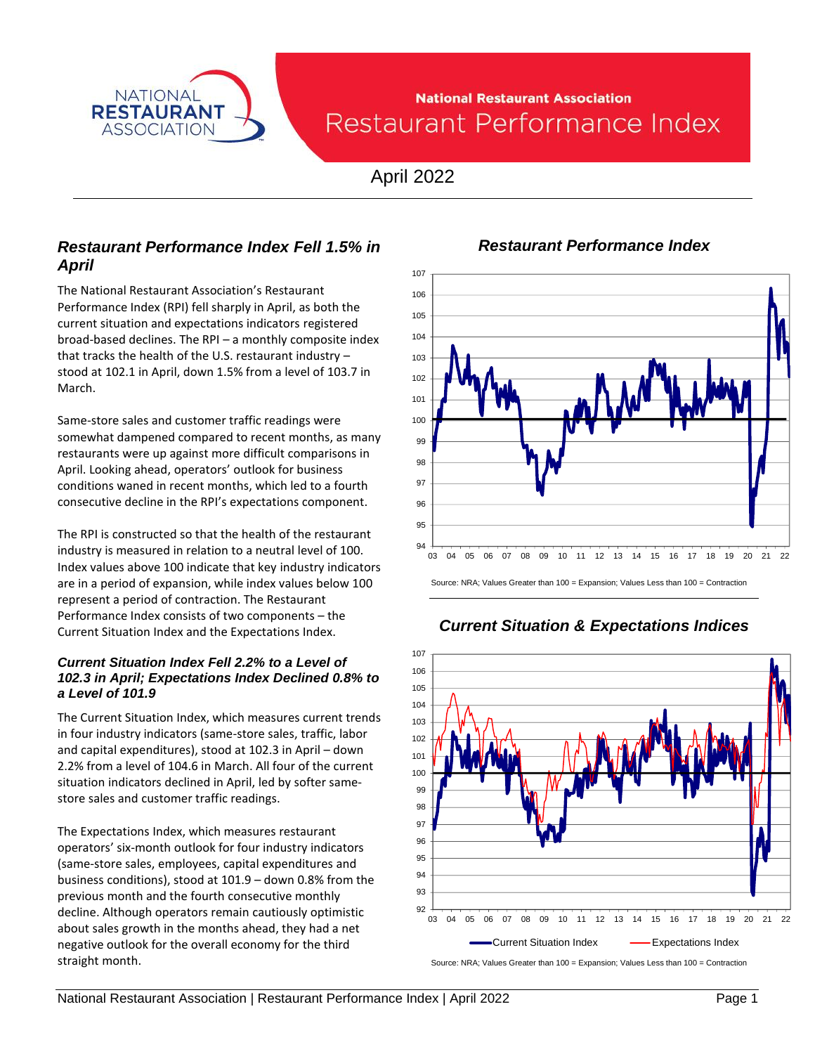

# **National Restaurant Association** Restaurant Performance Index

April 2022

## *Restaurant Performance Index Fell 1.5% in April*

The National Restaurant Association's Restaurant Performance Index (RPI) fell sharply in April, as both the current situation and expectations indicators registered broad-based declines. The RPI – a monthly composite index that tracks the health of the U.S. restaurant industry – stood at 102.1 in April, down 1.5% from a level of 103.7 in March.

Same-store sales and customer traffic readings were somewhat dampened compared to recent months, as many restaurants were up against more difficult comparisons in April. Looking ahead, operators' outlook for business conditions waned in recent months, which led to a fourth consecutive decline in the RPI's expectations component.

The RPI is constructed so that the health of the restaurant industry is measured in relation to a neutral level of 100. Index values above 100 indicate that key industry indicators are in a period of expansion, while index values below 100 represent a period of contraction. The Restaurant Performance Index consists of two components – the Current Situation Index and the Expectations Index.

#### *Current Situation Index Fell 2.2% to a Level of 102.3 in April; Expectations Index Declined 0.8% to a Level of 101.9*

The Current Situation Index, which measures current trends in four industry indicators (same-store sales, traffic, labor and capital expenditures), stood at 102.3 in April – down 2.2% from a level of 104.6 in March. All four of the current situation indicators declined in April, led by softer samestore sales and customer traffic readings.

The Expectations Index, which measures restaurant operators' six-month outlook for four industry indicators (same-store sales, employees, capital expenditures and business conditions), stood at 101.9 – down 0.8% from the previous month and the fourth consecutive monthly decline. Although operators remain cautiously optimistic about sales growth in the months ahead, they had a net negative outlook for the overall economy for the third straight month.



*Restaurant Performance Index*

Source: NRA; Values Greater than 100 = Expansion; Values Less than 100 = Contraction



## *Current Situation & Expectations Indices*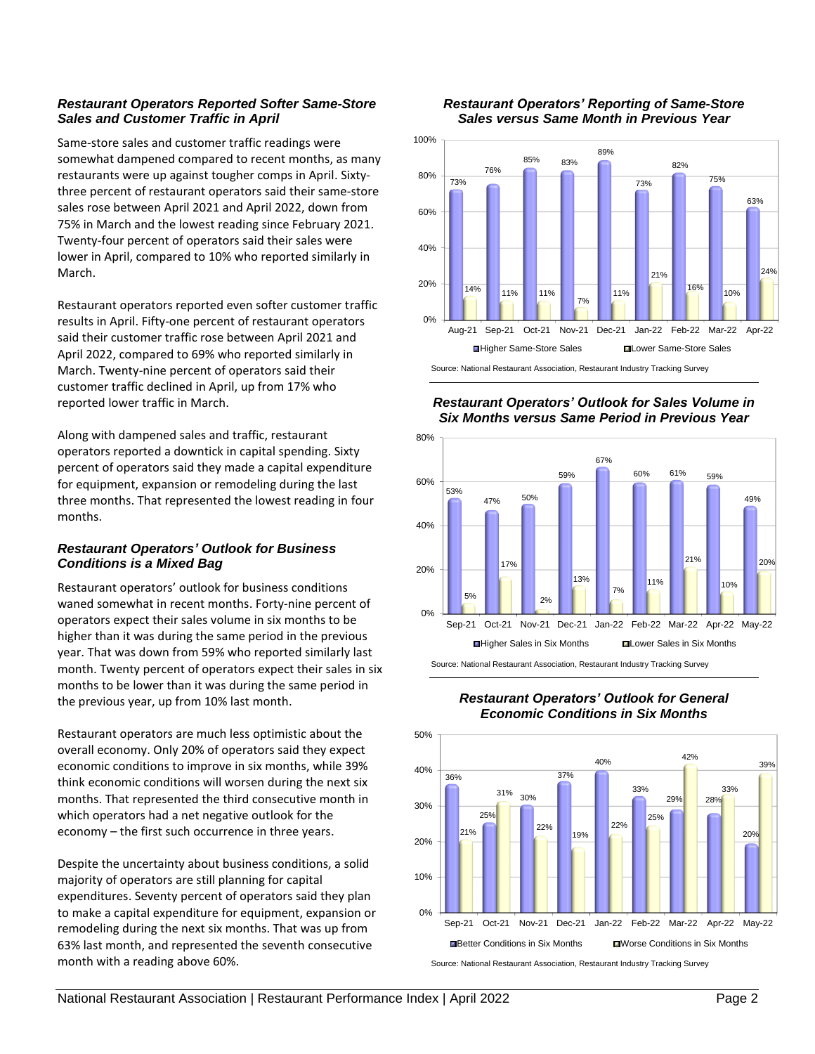#### *Restaurant Operators Reported Softer Same-Store Sales and Customer Traffic in April*

Same-store sales and customer traffic readings were somewhat dampened compared to recent months, as many restaurants were up against tougher comps in April. Sixtythree percent of restaurant operators said their same-store sales rose between April 2021 and April 2022, down from 75% in March and the lowest reading since February 2021. Twenty-four percent of operators said their sales were lower in April, compared to 10% who reported similarly in March.

Restaurant operators reported even softer customer traffic results in April. Fifty-one percent of restaurant operators said their customer traffic rose between April 2021 and April 2022, compared to 69% who reported similarly in March. Twenty-nine percent of operators said their customer traffic declined in April, up from 17% who reported lower traffic in March.

Along with dampened sales and traffic, restaurant operators reported a downtick in capital spending. Sixty percent of operators said they made a capital expenditure for equipment, expansion or remodeling during the last three months. That represented the lowest reading in four months.

### *Restaurant Operators' Outlook for Business Conditions is a Mixed Bag*

Restaurant operators' outlook for business conditions waned somewhat in recent months. Forty-nine percent of operators expect their sales volume in six months to be higher than it was during the same period in the previous year. That was down from 59% who reported similarly last month. Twenty percent of operators expect their sales in six months to be lower than it was during the same period in the previous year, up from 10% last month.

Restaurant operators are much less optimistic about the overall economy. Only 20% of operators said they expect economic conditions to improve in six months, while 39% think economic conditions will worsen during the next six months. That represented the third consecutive month in which operators had a net negative outlook for the economy – the first such occurrence in three years.

Despite the uncertainty about business conditions, a solid majority of operators are still planning for capital expenditures. Seventy percent of operators said they plan to make a capital expenditure for equipment, expansion or remodeling during the next six months. That was up from 63% last month, and represented the seventh consecutive month with a reading above 60%.





*Restaurant Operators' Outlook for Sales Volume in Six Months versus Same Period in Previous Year*





#### *Restaurant Operators' Outlook for General Economic Conditions in Six Months*